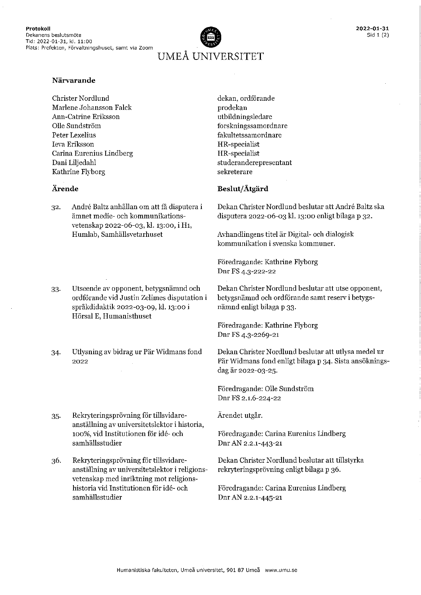

Christer Nordlund Marlene Johansson Falck Ann-Catrine Eriksson Olle Sundström Peter Lexelius Ieva Eriksson Carina Eurenius Lindberg Dani Liljedahl Kathrine Flyborg

#### Ärende

- 32. André Baltz anhållan om att få disputera i ämnet medie- och kommunikationsvetenskap 2022-06-03, kl. 13:00, i H1, Humlab, Samhällsvetarhuset
- 33. Utseende av opponent, betygsnämnd och ordförande vid Justin Zelimes disputation i språkdidaktik 2022-03-09, kl. 13:00 i Hörsal E, Humanisthuset
- Utlysning av bidrag ur Pär Widmans fond 34. 2022
- Rekryteringsprövning för tillsvidare- $35.$ anställning av universitetslektor i historia, 100%, vid Institutionen för idé- och samhällsstudier
- 36. Rekryteringsprövning för tillsvidareanställning av universitetslektor i religionsvetenskap med inriktning mot religionshistoria vid Institutionen för idé- och samhällsstudier

dekan, ordförande prodekan utbildningsledare forskningssamordnare fakultetssamordnare HR-specialist HR-specialist studeranderepresentant sekreterare

#### Beslut/Åtgärd

Dekan Christer Nordlund beslutar att André Baltz ska disputera 2022-06-03 kl. 13:00 enligt bilaga p 32.

Avhandlingens titel är Digital- och dialogisk kommunikation i svenska kommuner.

Föredragande: Kathrine Flyborg Dnr FS 4.3-222-22

Dekan Christer Nordlund beslutar att utse opponent, betygsnämnd och ordförande samt reserv i betygsnämnd enligt bilaga p 33.

Föredragande: Kathrine Flyborg Dnr FS 4.3-2269-21

Dekan Christer Nordlund beslutar att utlysa medel ur Pär Widmans fond enligt bilaga p 34. Sista ansökningsdag är 2022-03-25.

Föredragande: Olle Sundström Dnr FS 2.1.6-224-22

Ärendet utgår.

Föredragande: Carina Eurenius Lindberg Dnr AN 2.2.1-443-21

Dekan Christer Nordlund beslutar att tillstyrka rekryteringsprövning enligt bilaga p 36.

Föredragande: Carina Eurenius Lindberg Dnr AN 2.2.1-445-21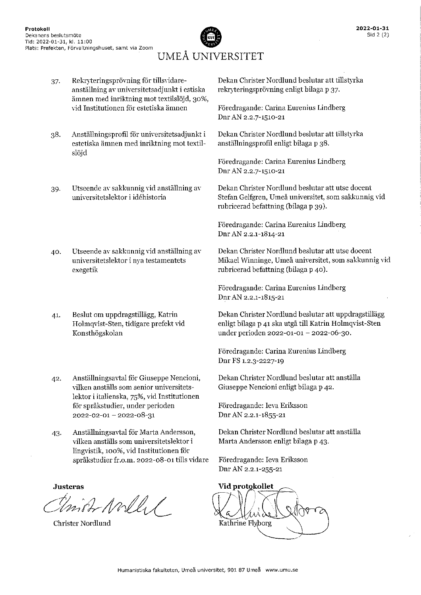

Rekryteringsprövning för tillsvidare-Dekan Christer Nordlund beslutar att tillstyrka 37. anställning av universitetsadjunkt i estiska rekryteringsprövning enligt bilaga p 37. ämnen med inriktning mot textilslöjd, 30%, vid Institutionen för estetiska ämnen Föredragande: Carina Eurenius Lindberg Dnr AN 2.2.7-1510-21 Dekan Christer Nordlund beslutar att tillstyrka Anställningsprofil för universitetsadjunkt i 38. estetiska ämnen med inriktning mot textilanställningsprofil enligt bilaga p 38. slöid Föredragande: Carina Eurenius Lindberg Dnr AN 2.2.7-1510-21 Utseende av sakkunnig vid anställning av Dekan Christer Nordlund beslutar att utse docent 39. Stefan Gelfgren, Umeå universitet, som sakkunnig vid universitetslektor i idéhistoria rubricerad befattning (bilaga p 39). Föredragande: Carina Eurenius Lindberg Dnr AN 2.2.1-1814-21 Dekan Christer Nordlund beslutar att utse docent Utseende av sakkunnig vid anställning av 40. Mikael Winninge, Umeå universitet, som sakkunnig vid universitetslektor i nya testamentets rubricerad befattning (bilaga p 40). exegetik Föredragande: Carina Eurenius Lindberg Dnr AN 2.2.1-1815-21 Dekan Christer Nordlund beslutar att uppdragstillägg Beslut om uppdragstillägg, Katrin 41. Holmqvist-Sten, tidigare prefekt vid enligt bilaga p 41 ska utgå till Katrin Holmqvist-Sten Konsthögskolan under perioden 2022-01-01 - 2022-06-30. Föredragande: Carina Eurenius Lindberg Dnr FS 1.2.3-2227-19 Dekan Christer Nordlund beslutar att anställa Anställningsavtal för Giuseppe Nencioni, 42. vilken anställs som senior universitets-Giuseppe Nencioni enligt bilaga p 42. lektor i italienska, 75%, vid Institutionen för språkstudier, under perioden Föredragande: Ieva Eriksson Dnr AN 2.2.1-1855-21 2022-02-01-2022-08-31 Anställningsavtal för Marta Andersson, Dekan Christer Nordlund beslutar att anställa 43. vilken anställs som universitetslektor i Marta Andersson enligt bilaga p 43. lingvistik, 100%, vid Institutionen för språkstudier fr.o.m. 2022-08-01 tills vidare Föredragande: Ieva Eriksson Dnr AN 2.2.1-255-21 **Justeras** Vid protokollet Union North Kathrine Flyborg **Christer Nordlund**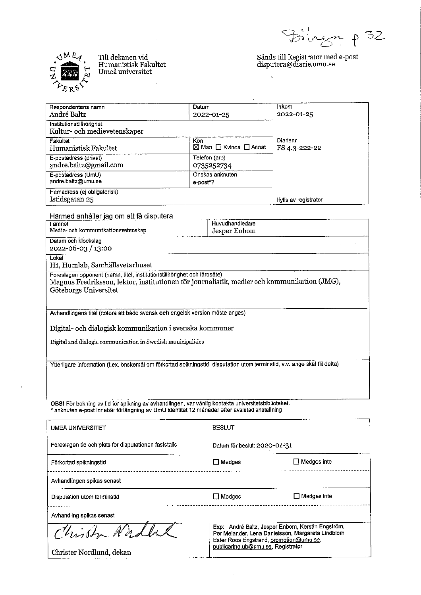agr p 32



Till dekanen vid<br>Humanistisk Fakultet Umeå universitet

# $\begin{array}{l}{\rm\bf S}\ddot{a}nds\;till\; Registrator\;med\;e-post\\{\rm\bf disputera}\ddot{\varpi}diarie.umu.se\end{array}$

 $\ddot{\phantom{a}}$ 

| Respondentens namn                                       | Datum                                      | Inkom                 |
|----------------------------------------------------------|--------------------------------------------|-----------------------|
| André Baltz                                              | 2022-01-25                                 | 2022-01-25            |
| Institutionstillhörighet<br>Kultur- och medievetenskaper |                                            |                       |
| <b>Fakultet</b>                                          | Kön                                        | Diarienr              |
| Humanistisk Fakultet                                     | $\boxtimes$ Man $\Box$ Kvinna $\Box$ Annat | FS 4.3-222-22         |
| E-postadress (privat)                                    | Telefon (arb)                              |                       |
| andre.baltz@gmail.com                                    | 0735252734                                 |                       |
| E-postadress (UmU)                                       | Önskas anknuten                            |                       |
| andre.baltz@umu.se                                       | e-post*?                                   |                       |
| Hemadress (ej obligatorisk)                              |                                            |                       |
| Istidsgatan 25                                           |                                            | lfylls av registrator |

Härmed anhåller jag om att få disputera

| ämnet                                                                                                                                                                                            | Huvudhandledare |  |
|--------------------------------------------------------------------------------------------------------------------------------------------------------------------------------------------------|-----------------|--|
| Medie- och kommunikationsvetenskap                                                                                                                                                               | Jesper Enbom    |  |
| Datum och klockslag                                                                                                                                                                              |                 |  |
| 2022-06-03 / 13:00                                                                                                                                                                               |                 |  |
| Lokal<br>H <sub>1</sub> , Humlab, Samhällsvetarhuset                                                                                                                                             |                 |  |
| Föreslagen opponent (namn, titel, institutionstillhörighet och lärosäte)<br>Magnus Fredriksson, lektor, institutionen för journalistik, medier och kommunikation (JMG),<br>Göteborgs Universitet |                 |  |
| Avhandlingens titel (notera att både svensk och engelsk version måste anges)                                                                                                                     |                 |  |
| Digital- och dialogisk kommunikation i svenska kommuner                                                                                                                                          |                 |  |
| Digital and dialogic communication in Swedish municipalities                                                                                                                                     |                 |  |
| Ytterligare information (t.ex. önskemål om förkortad spikningstid, disputation utom terminstid, v.v. ange skäl till detta)                                                                       |                 |  |

OBS! För bokning av tid för spikning av avhandlingen, var vänlig kontakta universitetsbiblioteket.<br>\* anknuten e-post innebär förlängning av UmU identitet 12 månader efter avslutad anställning

| <b>UMEÅ UNIVERSITET</b>                               | <b>BESLUT</b>                                                                                                                                                                             |                    |
|-------------------------------------------------------|-------------------------------------------------------------------------------------------------------------------------------------------------------------------------------------------|--------------------|
| Föreslagen tid och plats för disputationen fastställs | Datum för beslut: 2020-01-31                                                                                                                                                              |                    |
| Förkortad spikningstid                                | $\Box$ Medges                                                                                                                                                                             | $\Box$ Medges inte |
| Avhandlingen spikas senast                            | -------------------------                                                                                                                                                                 |                    |
| Disputation utom terminstid                           | $\Box$ Medges                                                                                                                                                                             | $\Box$ Medges inte |
| Avhandling spikas senast                              |                                                                                                                                                                                           |                    |
| Chist Nadle<br>Christer Nordlund, dekan               | Exp: André Baltz, Jesper Enborn, Kerstin Engström,<br>Per Melander, Lena Danielsson, Margareta Lindblom,<br>Ester Roos Engstrand, promotion@umu.se,<br>publicering.ub@umu.se, Registrator |                    |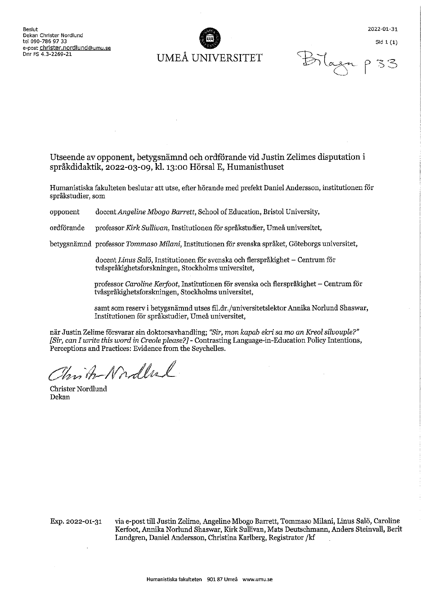

2022-01-31

Bilaga p

Sid  $1(1)$ 

### Utseende av opponent, betygsnämnd och ordförande vid Justin Zelimes disputation i språkdidaktik. 2022-03-09. kl. 13:00 Hörsal E. Humanisthuset

Humanistiska fakulteten beslutar att utse, efter hörande med prefekt Daniel Andersson, institutionen för språkstudier, som

opponent docent Angeline Mbogo Barrett, School of Education, Bristol University,

ordförande professor Kirk Sullivan, Institutionen för språkstudier, Umeå universitet,

betygsnämnd professor Tommaso Milani, Institutionen för svenska språket, Göteborgs universitet,

docent Linus Salö. Institutionen för svenska och flerspråkighet – Centrum för tvåspråkighetsforskningen, Stockholms universitet,

professor Caroline Kerfoot, Institutionen för svenska och flerspråkighet – Centrum för tvåspråkighetsforskningen, Stockholms universitet,

samt som reserv i betygsnämnd utses fil.dr./universitetslektor Annika Norlund Shaswar, Institutionen för språkstudier, Umeå universitet,

när Justin Zelime försvarar sin doktorsavhandling; "Sir, mon kapab ekri sa mo an Kreol silvouple?" [Sir, can I write this word in Creole please?] - Contrasting Language-in-Education Policy Intentions, Perceptions and Practices: Evidence from the Seychelles.

Christo Nordbul

**Christer Nordlund** Dekan

Exp. 2022-01-31

via e-post till Justin Zelime, Angeline Mbogo Barrett, Tommaso Milani, Linus Salö, Caroline Kerfoot, Annika Norlund Shaswar, Kirk Sullivan, Mats Deutschmann, Anders Steinvall, Berit Lundgren, Daniel Andersson, Christina Karlberg, Registrator /kf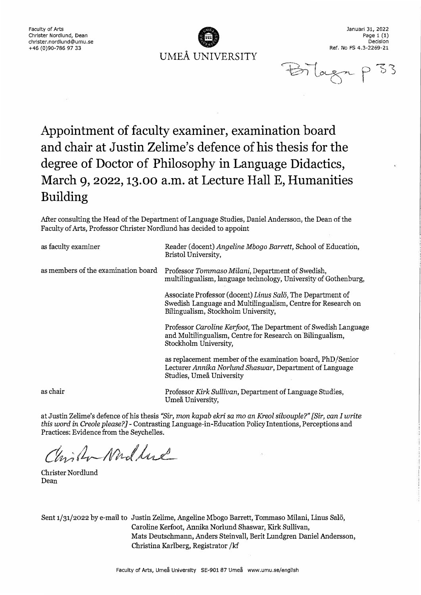**UMEÅ UNIVERSITY** 

**Januari 31, 2022**  Page 1 (1) **Decislon Ref, No FS 4.3-2269-21** 

Bilagn

# **Appointment of faculty examiner, examination board and chair at Justin Zelime's defence ofhis thesis for the degree of Doctor of Philosophy in Language Didactics, March 9, 2022, 13.00 a.m. at Lecture Hall E, Humanities Building**

After consulting the Head of the Department of Language Studies, Daniel Andersson, the Dean of the Faculty of Arts, Professor Christer Nordlund has decided to appoint

| as faculty examiner                 | Reader (docent) Angeline Mbogo Barrett, School of Education,<br>Bristol University,                                                                               |
|-------------------------------------|-------------------------------------------------------------------------------------------------------------------------------------------------------------------|
| as members of the examination board | Professor Tommaso Milani, Department of Swedish,<br>multilingualism, language technology, University of Gothenburg,                                               |
|                                     | Associate Professor (docent) Linus Salö, The Department of<br>Swedish Language and Multilingualism, Centre for Research on<br>Bilingualism, Stockholm University, |
|                                     | Professor Caroline Kerfoot, The Department of Swedish Language<br>and Multilingualism, Centre for Research on Bilingualism,<br>Stockholm University,              |
|                                     | as replacement member of the examination board, PhD/Senior<br>Lecturer Annika Norlund Shaswar, Department of Language<br>Studies, Umeå University                 |
| as chair                            | Professor Kirk Sullivan, Department of Language Studies,<br>Umeå University,                                                                                      |

at Justin Zelime's defence ofhis thesis "Sir, *mon kapab ekri sa* mo *an Kreol silvouple?" [Sir, can I write this word* in *Creole please?]-* Contrasting Language-in-Education Policy Intentions, Perceptions and Practices: Evidence from the Seychelles.

Chicha Modlere

Christer Nordlund Dean

Sent 1/31/2022 by e-mail to Justin Zelime, Angeline Mbogo Barrett, Tommaso Milani, Linus Salö, Caroline Kerfoot, Annika Norlund Shaswar, Kirk Sullivan, Mats Deutschmann, Anders Steinvall, Berit Lundgren Daniel Andersson, Christina Karlberg, Registrator /kf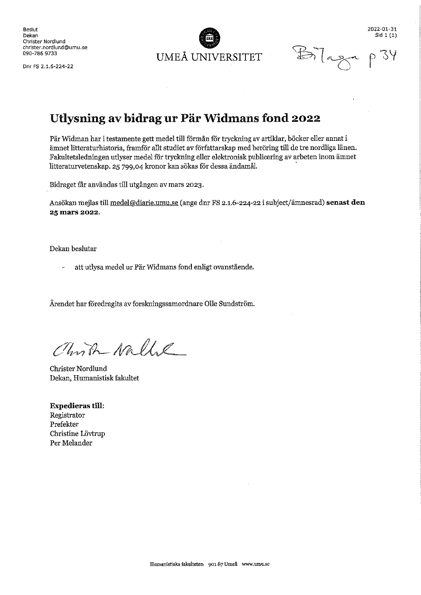Beslut Dekan Christer Nordlund christer.nordlund@umu.se 090-786 9733

Drir FS 2.1.6-224-22



2022-01-31 Sid  $1(1)$ 

 $\mathbb{B}$ lag

### Utlysning av bidrag ur Pär Widmans fond 2022

Pär Widman har i testamente gett medel till förmån för tryckning av artiklar, böcker eller annat i ämnet litteraturhistoria, framför allt studiet av författarskap med beröring till de tre nordliga länen. Fakultetsledningen utlyser medel för tryckning eller elektronisk publicering av arbeten inom ämnet litteraturvetenskap. 25 799,04 kronor kan sökas för dessa ändamål.

Bidraget får användas till utgången av mars 2023.

Ansökan mejlas till medel@diarie.umu.se (ange dnr FS 2.1.6-224-22 i subject/ämnesrad) senast den 25 mars 2022.

Dekan beslutar

att utlysa medel ur Pär Widmans fond enligt ovanstående.

Ärendet har föredragits av forskningssamordnare Olle Sundström.

Christ Nalle

Christer Nordlund Dekan, Humanistisk fakultet

**Expedieras till:** Registrator Prefekter Christine Lövtrup Per Melander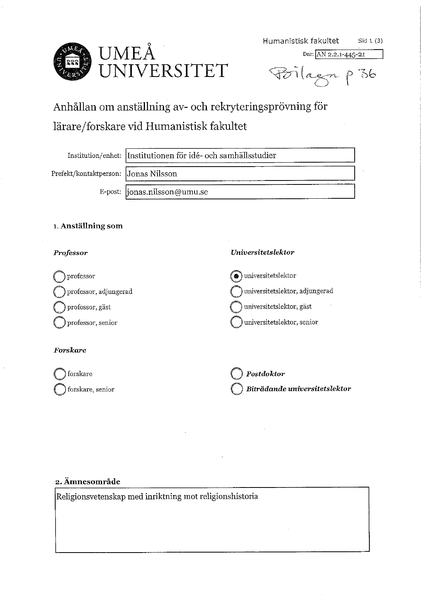

Dnr: AN 2.2.1-445-21

Poilagn p 36

# Anhållan om anställning av- och rekryteringsprövning för lärare/forskare vid Humanistisk fakultet

Institution/enhet: Institutionen för idé- och samhällsstudier

Prefekt/kontaktperson: Jonas Nilsson

|ionas.nilsson@umu.se E-post:

#### 1. Anställning som

#### Professor

#### $\circledcirc$ universitetslektor professor universitetslektor, adjungerad professor, adjungerad universitetslektor, gäst professor, gäst universitetslektor, senior professor, senior Forskare forskare Postdoktor Biträdande universitetslektor forskare, senior

Universitetslektor

#### 2. Ämnesområde

Religionsvetenskap med inriktning mot religionshistoria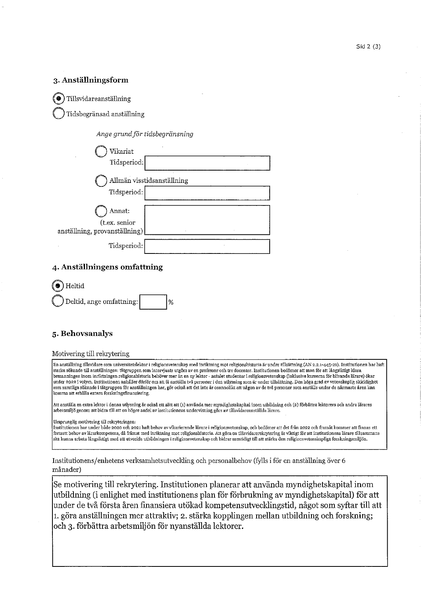#### 3. Anställningsform

Tillsvidareanställning

Tidsbegränsad anställning

Ange grund för tidsbegränsning

| Vikariat                                       |                            |
|------------------------------------------------|----------------------------|
| Tidsperiod:                                    |                            |
|                                                | Allmän visstidsanställning |
| Tidsperiod:                                    |                            |
| Annat:                                         |                            |
| (t.ex. senior<br>anställning, provanställning) |                            |
| Tidsperiod:                                    |                            |

#### 4. Anställningens omfattning



#### 5. Behovsanalys

#### Motivering till rekrytering

En anställning tillsvidare som universitetslektor i religionsvetenskap med inriktning mot religionshistoria är under tillsättning (AN 2.2.1-445-21). Institutionen har haft starka sökande till anställningen: tätgruppen som intervjuats utgörs av en professor och tre docenter. Institutionen bedömer att man för att långsiktigt klara bemanningen inom inriktningen religionshistoria behöver mer än en ny lektor - antalet studenter i religionsvetenskap (inklusive kurserna för blivande lärare) ökar under 2022 i volym. Institutionen anhåller därför om att få anställa två personer i den utlysning som är under tillsättning. Den höga grad av vetenskaplig skicklighet som samtliga sökande i tätgruppen för anställningen har, gör också att det inte är osannolikt att någon av de två personer som anställs under de närmaste åren kan komma att erhålla extern forskningsfinansiering.

Att anställa en extra lektor i denna utlysning är också ett sätt att (1) använda mer myndighetskapital inom utbildning och (2) förbättra lektorers och andra lärares arbetsmiljö genom att bidra till att en högre andel av institutionens undervisning görs av tillsvidareanställda lärare.

Ursprunglig motivering till rekryteringen:

Institutionen har under både 2020 och 2021 haft behov av vikarierande lärare i religionsvetenskap, och bedömer att det från 2022 och framåt kommer att finnas ett fortsatt behov av lärarkompetens, då främst med inriktning mot religionshistoria. Att göra en tillsvidarerekrytering är viktigt för att institutionens lärare tillsammans ska kunna arbeta längsiktigt med att utveckla utbildningen i religionsvetenskap och bidrar samtidigt till att stärka den religionsvetenskapliga forskningsmiljön.

Institutionens/enhetens verksamhetsutveckling och personalbehov (fylls i för en anställning över 6 månader)

Se motivering till rekrytering. Institutionen planerar att använda myndighetskapital inom utbildning (i enlighet med institutionens plan för förbrukning av myndighetskapital) för att under de två första åren finansiera utökad kompetensutvecklingstid, något som syftar till att 1. göra anställningen mer attraktiv; 2. stärka kopplingen mellan utbildning och forskning; och 3. förbättra arbetsmiljön för nyanställda lektorer.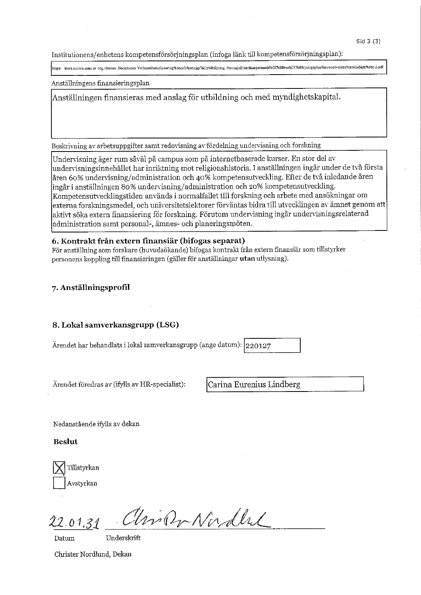Institutionens/enhetens kompetensförsörjningsplan (infoga länk till kompetensförsörjningsplan):

attps: intra.aurora.umu.se org.idesam. Documents Verksamhetsplanering%200ch%20upp%C3%B6jjning\_Strategisk%20kompatensio%CC%88rso%CC%88rjningsplan%202020-2022%20IdeSam%20(1).pdf

Anställningens finansieringsplan

Anställningen finansieras med anslag för utbildning och med myndighetskapital.

Beskrivning av arbetsuppgifter samt redovisning av fördelning undervisning och forskning

Undervisning äger rum såväl på campus som på internetbaserade kurser. En stor del av undervisningsinnehållet har inriktning mot religionshistoria. I anställningen ingår under de två första åren 60% undervisning/administration och 40% kompetensutveckling. Efter de två inledande åren ingår i anställningen 80% undervisning/administration och 20% kompetensutveckling. Kompetensutvecklingstiden används i normalfallet till forskning och arbete med ansökningar om externa forskningsmedel, och universitetslektorer förväntas bidra till utvecklingen av ämnet genom att aktivt söka extern finansiering för forskning. Förutom undervisning ingår undervisningsrelaterad administration samt personal-, ämnes- och planeringsmöten.

#### 6. Kontrakt från extern finansiär (bifogas separat)

För anställning som forskare (huvudsökande) bifogas kontrakt från extern finansiär som tillstyrker personens koppling till finansieringen (gäller för anställningar utan utlysning).

#### 7. Anställningsprofil

#### 8. Lokal samverkansgrupp (LSG)

Ärendet har behandlats i lokal samverkansgrupp (ange datum):  $|220127$ 

Ärendet föredras av (ifylls av HR-specialist):

Carina Eurenius Lindberg

Nedanstående ifylls av dekan

**Beslut** 

Tillstyrkan Avstyrkan

UniDr Nordlal  $.01.3$ 

Datum

Underskrift

Christer Nordlund, Dekan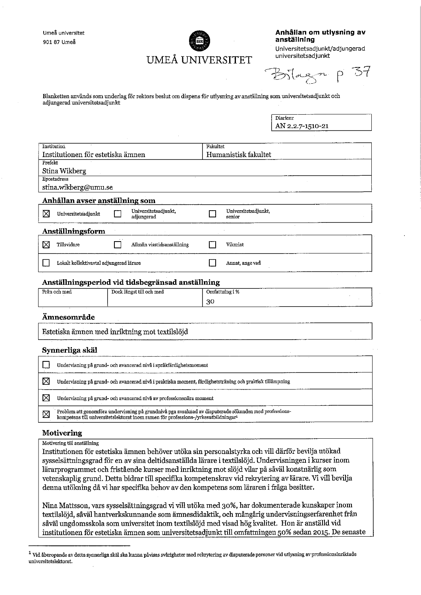Umeå universitet 901 87 Umeå



Anhållan om utlysning av anställning

Universitetsadjunkt/adjungerad universitetsadjunkt

- 37  $B$ ilagn p

Blanketten används som underlag för rektors beslut om dispens för utlysning av anställning som universitetsadjunkt och adjungerad universitetsadjunkt

> Diarienr AN 2.2.7-1510-21

| Institution                                      |                                    | Fakultet                       |  |  |
|--------------------------------------------------|------------------------------------|--------------------------------|--|--|
| Institutionen för estetiska ämnen                |                                    | Humanistisk fakultet           |  |  |
| Prefekt                                          |                                    |                                |  |  |
| Stina Wikberg                                    |                                    |                                |  |  |
| Epostadress                                      |                                    |                                |  |  |
| stina.wikberg@umu.se                             |                                    |                                |  |  |
| Anhållan avser anställning som                   |                                    |                                |  |  |
| ⊠<br>Universitetsadjunkt                         | Universitetsadjunkt.<br>adjungerad | Universitetsadjunkt,<br>senior |  |  |
| Anställningsform                                 |                                    |                                |  |  |
| M<br>Tillsvidare                                 | Allmän visstidsanställning         | Vikariat                       |  |  |
| Lokalt kollektivavtal adjungerad lärare          |                                    | Annat, ange vad                |  |  |
| Anställningsperiod vid tidsbegränsad anställning |                                    |                                |  |  |
| Från och med                                     | Dock längst till och med           | Omfattning i %                 |  |  |

#### Ämnesområde

| _______________                                |  |
|------------------------------------------------|--|
|                                                |  |
| Estetiska ämnen med inriktning mot textilslöjd |  |
|                                                |  |

30

#### Synnerliga skäl

|   | Undervisning på grund- och avancerad nivå i språkfärdighetsmoment                                                                                                                                       |
|---|---------------------------------------------------------------------------------------------------------------------------------------------------------------------------------------------------------|
|   | Undervisning på grund- och avancerad nivå i praktiska moment, färdighetsträning och praktisk tillämpning                                                                                                |
|   | Undervisning på grund- och avancerad nivå av professionsnära moment                                                                                                                                     |
| 区 | Problem att genomföra undervisning på grundnivå pga avsaknad av disputerade sökanden med professions-<br>kompetens till universitetslektorat inom ramen för professions-/yrkesutbildningar <sup>1</sup> |

#### Motivering

Motivering till anställning

Institutionen för estetiska ämnen behöver utöka sin personalstyrka och vill därför bevilja utökad sysselsättningsgrad för en av sina deltidsanställda lärare i textilslöjd. Undervisningen i kurser inom lärarprogrammet och fristående kurser med inriktning mot slöjd vilar på såväl konstnärlig som vetenskaplig grund. Detta bidrar till specifika kompetenskrav vid rekrytering av lärare. Vi vill bevilja denna utökning då vi har specifika behov av den kompetens som läraren i fråga besitter.

Nina Mattsson, vars sysselsättningsgrad vi vill utöka med 30%, har dokumenterade kunskaper inom textilslöjd, såväl hantverkskunnande som ämnesdidaktik, och mångårig undervisningserfarenhet från såväl ungdomsskola som universitet inom textilslöjd med visad hög kvalitet. Hon är anställd vid institutionen för estetiska ämnen som universitetsadjunkt till omfattningen 50% sedan 2015. De senaste

<sup>&</sup>lt;sup>1</sup> Vid åberopande av detta synnerliga skäl ska kunna påvisas svårigheter med rekrytering av disputerade personer vid utlysning av professionsinriktade universitetslektorat.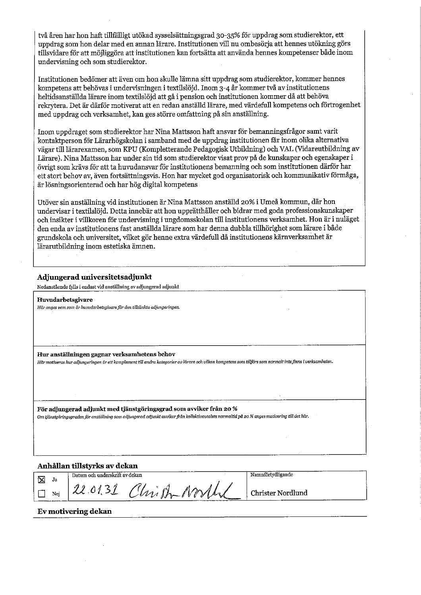två åren har hon haft tillfälligt utökad sysselsättningsgrad 30-35% för uppdrag som studierektor, ett uppdrag som hon delar med en annan lärare. Institutionen vill nu ombesörja att hennes utökning görs tillsvidare för att möjliggöra att institutionen kan fortsätta att använda hennes kompetenser både inom undervisning och som studierektor.

Institutionen bedömer att även om hon skulle lämna sitt uppdrag som studierektor, kommer hennes kompetens att behövas i undervisningen i textilslöjd. Inom 3-4 år kommer två av institutionens heltidsanställda lärare inom textilslöjd att gå i pension och institutionen kommer då att behöva rekrytera. Det är därför motiverat att en redan anställd lärare, med värdefull kompetens och förtrogenhet med uppdrag och verksamhet, kan ges större omfattning på sin anställning.

Inom uppdraget som studierektor har Nina Mattsson haft ansvar för bemanningsfrågor samt varit kontaktperson för Lärarhögskolan i samband med de uppdrag institutionen får inom olika alternativa vägar till lärarexamen, som KPU (Kompletterande Pedagogisk Utbildning) och VAL (Vidareutbildning av Lärare). Nina Mattsson har under sin tid som studierektor visat prov på de kunskaper och egenskaper i övrigt som krävs för att ta huvudansvar för institutionens bemanning och som institutionen därför har ett stort behov av, även fortsättningsvis. Hon har mycket god organisatorisk och kommunikativ förmåga, är lösningsorienterad och har hög digital kompetens

Utöver sin anställning vid institutionen är Nina Mattsson anställd 20% i Umeå kommun, där hon undervisar i textilslöjd. Detta innebär att hon upprätthåller och bidrar med goda professionskunskaper och insikter i villkoren för undervisning i ungdomsskolan till institutionens verksamhet. Hon är i nuläget den enda av institutionens fast anställda lärare som har denna dubbla tillhörighet som lärare i både grundskola och universitet, vilket gör henne extra värdefull då institutionens kärnverksamhet är lärarutbildning inom estetiska ämnen.

#### Adjungerad universitetsadjunkt

Nedanstående fylls i endast vid anställning av adjungerad adjunkt

Huvudarbetsgivare Här anges vem som är huvudarbetsgivare för den tilltänkta adjungeringen.

Hur anställningen gagnar verksamhetens behov

Här motiveras hur adjungeringen är ett komplement till andra kategorier av lärare och vilken kompetens som tillförs som normalt inte finns i verksamheten.

För adjungerad adjunkt med tjänstgöringsgrad som avviker från 20 %

Om tjänstgöringsgraden för anställning som adjungerad adjunkt avviker från kollektivavtalets normaltid på 20 % anges motivering till det här.

#### Anhållan tillstyrks av dekan

| 区 | Ja              | Datum och underskrift av dekan |                               | Namnförtydligande |
|---|-----------------|--------------------------------|-------------------------------|-------------------|
|   |                 | $\theta$ <sup>1</sup>          | P)                            |                   |
|   | Ne <sup>x</sup> |                                | $\mathscr{N}$<br>y.<br>S<br>A | Christer Nordlund |

#### **Ev motivering dekan**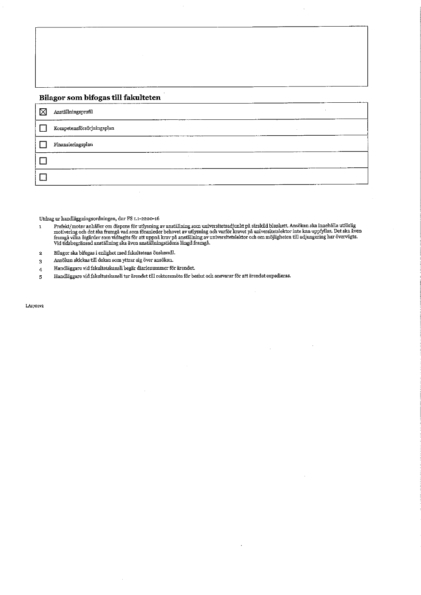#### Bilagor som bifogas till fakulteten

| $\times$ | Anställningsprofil                 |  |  |
|----------|------------------------------------|--|--|
|          | Kompetensförsörjningsplan          |  |  |
|          | $\operatorname{Finansieringsplan}$ |  |  |
|          | $\sim$                             |  |  |
|          |                                    |  |  |

Utdrag ur handläggningsordningen, dnr FS 1.1-2200-16

- menter and the particle of the state of the state of the material state in the state of the state of the motivering och varity motivering och det ska framgå val som föranleder behovet av utlysning och varför kravet på univ  $\mathbf{1}$
- Bilagor ska bifogas i enlighet med fakultetens önskemål.  $\overline{\mathbf{2}}$
- Ansökan skickas till dekan som yttrar sig över ansökan.  $\bf{3}$
- Handläggare vid fakultetskansli begär diarienummer för ärendet.  $\overline{4}$
- Handläggare vid fakultetskansli tar ärendet till rektorsmöte för beslut och ansvarar för att ärendet expedieras.  $\overline{\mathbf{5}}$

LA1701v2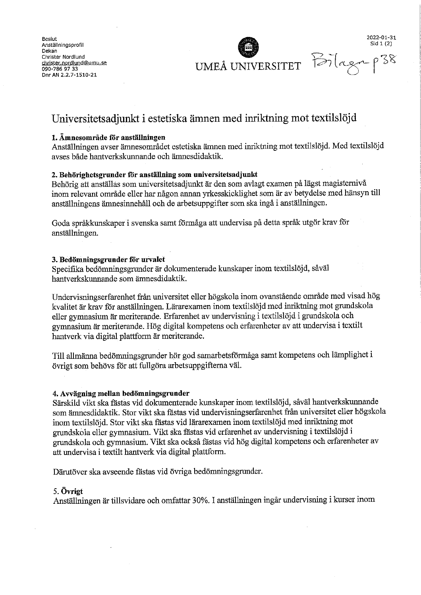**Bestutt** Anställningsprofil Dekan Christer Nordlund christer.nordlund@umu.se 090-786 97 33 Dnr AN 2.2.7-1510-21

UMEÅ UNIVERSITET

Sid 1 (2) Bilaga

2022-01-31

### Universitetsadjunkt i estetiska ämnen med inriktning mot textilslöjd

#### 1. Ämnesområde för anställningen

Anställningen avser ämnesområdet estetiska ämnen med inriktning mot textilslöjd. Med textilslöjd avses både hantverkskunnande och ämnesdidaktik.

#### 2. Behörighetsgrunder för anställning som universitetsadjunkt

Behörig att anställas som universitetsadjunkt är den som avlagt examen på lägst magisternivå inom relevant område eller har någon annan yrkesskicklighet som är av betydelse med hänsyn till anställningens ämnesinnehåll och de arbetsuppgifter som ska ingå i anställningen.

Goda språkkunskaper i svenska samt förmåga att undervisa på detta språk utgör krav för anställningen.

#### 3. Bedömningsgrunder för urvalet

Specifika bedömningsgrunder är dokumenterade kunskaper inom textilslöjd, såväl hantverkskunnande som ämnesdidaktik.

Undervisningserfarenhet från universitet eller högskola inom ovanstående område med visad hög kvalitet är krav för anställningen. Lärarexamen inom textilslöjd med inriktning mot grundskola eller gymnasium är meriterande. Erfarenhet av undervisning i textilslöjd i grundskola och gymnasium är meriterande. Hög digital kompetens och erfarenheter av att undervisa i textilt hantverk via digital plattform är meriterande.

Till allmänna bedömningsgrunder hör god samarbetsförmåga samt kompetens och lämplighet i övrigt som behövs för att fullgöra arbetsuppgifterna väl.

#### 4. Avvägning mellan bedömningsgrunder

Särskild vikt ska fästas vid dokumenterade kunskaper inom textilslöjd, såväl hantverkskunnande som ämnesdidaktik. Stor vikt ska fästas vid undervisningserfarenhet från universitet eller högskola inom textilslöjd. Stor vikt ska fästas vid lärarexamen inom textilslöjd med inriktning mot grundskola eller gymnasium. Vikt ska fästas vid erfarenhet av undervisning i textilslöjd i grundskola och gymnasium. Vikt ska också fästas vid hög digital kompetens och erfarenheter av att undervisa i textilt hantverk via digital plattform.

Därutöver ska avseende fästas vid övriga bedömningsgrunder.

#### 5. Övrigt

Anställningen är tillsvidare och omfattar 30%. I anställningen ingår undervisning i kurser inom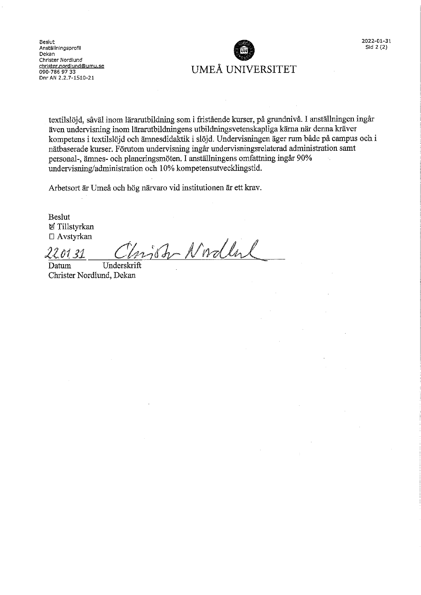Beslut Anställningsprofil Dekan Christer Nordlund christer.nordlund@umu.se 090-786 97 33<br>Dnr AN 2.2.7-1510-21



textilslöjd, såväl inom lärarutbildning som i fristående kurser, på grundnivå. I anställningen ingår även undervisning inom lärarutbildningens utbildningsvetenskapliga kärna när denna kräver kompetens i textilslöjd och ämnesdidaktik i slöjd. Undervisningen äger rum både på campus och i nätbaserade kurser. Förutom undervisning ingår undervisningsrelaterad administration samt personal-, ämnes- och planeringsmöten. I anställningens omfattning ingår 90% undervisning/administration och 10% kompetensutvecklingstid.

Arbetsort är Umeå och hög närvaro vid institutionen är ett krav.

**Beslut** 図 Tillstyrkan  $\Box$  Avstyrkan

njoh Nordla 99  $1121$ 

Underskrift Datum Christer Nordlund, Dekan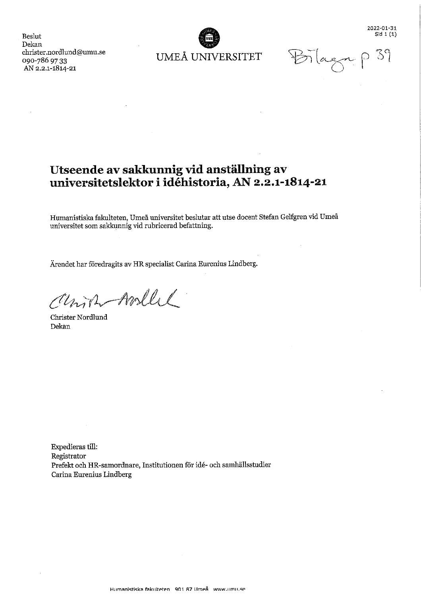$Sid 1(1)$  $39$  $\forall n$ lagn

2022-01-31

Beslut Dekan christer.nordlund@umu.se 090-786 97 33 AN 2.2.1-1814-21

UMEÅ UNIVERSITET

# Utseende av sakkunnig vid anställning av universitetslektor i idéhistoria, AN 2.2.1-1814-21

Humanistiska fakulteten, Umeå universitet beslutar att utse docent Stefan Gelfgren vid Umeå universitet som sakkunnig vid rubricerad befattning.

Ärendet har föredragits av HR specialist Carina Eurenius Lindberg.

Union-Mollel

Christer Nordlund Dekan

 $\mathcal{L}_{\mathcal{A}}$ 

Expedieras till: Registrator Prefekt och HR-samordnare, Institutionen för idé- och samhällsstudier Carina Eurenius Lindberg